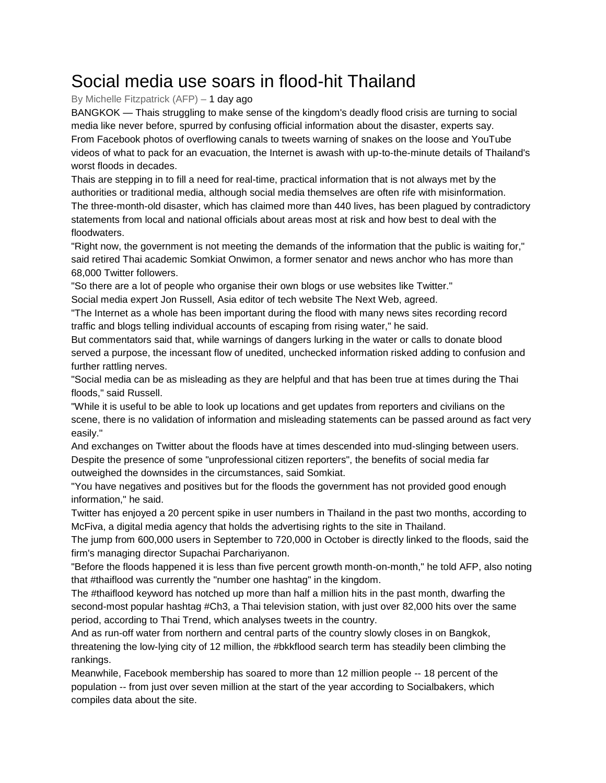## Social media use soars in flood-hit Thailand

## By Michelle Fitzpatrick (AFP) – 1 day ago

BANGKOK — Thais struggling to make sense of the kingdom's deadly flood crisis are turning to social media like never before, spurred by confusing official information about the disaster, experts say. From Facebook photos of overflowing canals to tweets warning of snakes on the loose and YouTube videos of what to pack for an evacuation, the Internet is awash with up-to-the-minute details of Thailand's worst floods in decades.

Thais are stepping in to fill a need for real-time, practical information that is not always met by the authorities or traditional media, although social media themselves are often rife with misinformation. The three-month-old disaster, which has claimed more than 440 lives, has been plagued by contradictory statements from local and national officials about areas most at risk and how best to deal with the floodwaters.

"Right now, the government is not meeting the demands of the information that the public is waiting for," said retired Thai academic Somkiat Onwimon, a former senator and news anchor who has more than 68,000 Twitter followers.

"So there are a lot of people who organise their own blogs or use websites like Twitter."

Social media expert Jon Russell, Asia editor of tech website The Next Web, agreed.

"The Internet as a whole has been important during the flood with many news sites recording record traffic and blogs telling individual accounts of escaping from rising water," he said.

But commentators said that, while warnings of dangers lurking in the water or calls to donate blood served a purpose, the incessant flow of unedited, unchecked information risked adding to confusion and further rattling nerves.

"Social media can be as misleading as they are helpful and that has been true at times during the Thai floods," said Russell.

"While it is useful to be able to look up locations and get updates from reporters and civilians on the scene, there is no validation of information and misleading statements can be passed around as fact very easily."

And exchanges on Twitter about the floods have at times descended into mud-slinging between users. Despite the presence of some "unprofessional citizen reporters", the benefits of social media far outweighed the downsides in the circumstances, said Somkiat.

"You have negatives and positives but for the floods the government has not provided good enough information," he said.

Twitter has enjoyed a 20 percent spike in user numbers in Thailand in the past two months, according to McFiva, a digital media agency that holds the advertising rights to the site in Thailand.

The jump from 600,000 users in September to 720,000 in October is directly linked to the floods, said the firm's managing director Supachai Parchariyanon.

"Before the floods happened it is less than five percent growth month-on-month," he told AFP, also noting that #thaiflood was currently the "number one hashtag" in the kingdom.

The #thaiflood keyword has notched up more than half a million hits in the past month, dwarfing the second-most popular hashtag #Ch3, a Thai television station, with just over 82,000 hits over the same period, according to Thai Trend, which analyses tweets in the country.

And as run-off water from northern and central parts of the country slowly closes in on Bangkok, threatening the low-lying city of 12 million, the #bkkflood search term has steadily been climbing the rankings.

Meanwhile, Facebook membership has soared to more than 12 million people -- 18 percent of the population -- from just over seven million at the start of the year according to Socialbakers, which compiles data about the site.